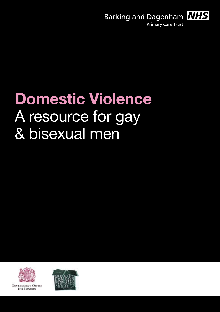Barking and Dagenham **NHS Primary Care Trust** 

Section Title 1

# **Domestic Violence**  A resource for gay & bisexual men



**GOVERNMENT OFFICE** FOR LONDON

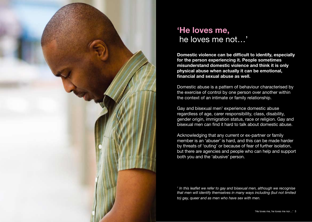

# **'He loves me,**  he loves me not…'

**Domestic violence can be difficult to identify, especially for the person experiencing it. People sometimes misunderstand domestic violence and think it is only physical abuse when actually it can be emotional, financial and sexual abuse as well.** 

Domestic abuse is a pattern of behaviour characterised by the exercise of control by one person over another within the context of an intimate or family relationship.

Gay and bisexual men<sup>1</sup> experience domestic abuse regardless of age, carer responsibility, class, disability, gender origin, immigration status, race or religion. Gay and bisexual men can find it hard to talk about domestic abuse.

Acknowledging that any current or ex-partner or family member is an 'abuser' is hard, and this can be made harder by threats of 'outing' or because of fear of further isolation, but there are agencies and people who can help and support both you and the 'abusive' person.

<sup>1</sup> In this leaflet we refer to gay and bisexual men, although we recognise *that men will identify themselves in many ways including (but not limited to) gay, queer and as men who have sex with men.*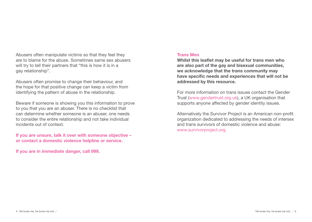Abusers often manipulate victims so that they feel they are to blame for the abuse. Sometimes same sex abusers will try to tell their partners that "this is how it is in a gay relationship".

Abusers often promise to change their behaviour, and the hope for that positive change can keep a victim from identifying the pattern of abuse in the relationship.

Beware if someone is showing you this information to prove to you that you are an abuser. There is no checklist that can determine whether someone is an abuser, one needs to consider the entire relationship and not take individual incidents out of context.

**If you are unsure, talk it over with someone objective – or contact a domestic violence helpline or service.** 

**If you are in immediate danger, call 999.** 

#### **Trans Men**

**Whilst this leaflet may be useful for trans men who are also part of the gay and bisexual communities, we acknowledge that the trans community may have specific needs and experiences that will not be addressed by this resource.**

For more information on trans issues contact the Gender Trust (www.gendertrust.org.uk), a UK organisation that supports anyone affected by gender identity issues.

Alternatively the Survivor Project is an American non-profit organization dedicated to addressing the needs of intersex and trans survivors of domestic violence and abuse: www.survivorproject.org.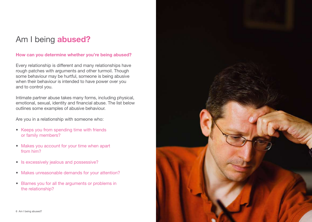# Am I being **abused?**

# **How can you determine whether you're being abused?**

Every relationship is different and many relationships have rough patches with arguments and other turmoil. Though some behaviour may be hurtful, someone is being abusive when their behaviour is intended to have power over you and to control you.

Intimate partner abuse takes many forms, including physical, emotional, sexual, identity and financial abuse. The list below outlines some examples of abusive behaviour.

Are you in a relationship with someone who:

- Keeps you from spending time with friends or family members?
- Makes you account for your time when apart from him?
- Is excessively jealous and possessive?
- Makes unreasonable demands for your attention?
- Blames you for all the arguments or problems in the relationship?

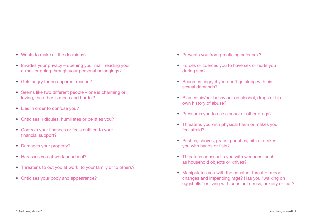- Wants to make all the decisions?
- Invades your privacy opening your mail, reading your e-mail or going through your personal belongings?
- Gets angry for no apparent reason?
- Seems like two different people one is charming or loving, the other is mean and hurtful?
- Lies in order to confuse you?
- Criticises, ridicules, humiliates or belittles you?
- Controls your finances or feels entitled to your financial support?
- Damages your property?
- Harasses you at work or school?
- Threatens to out you at work, to your family or to others?
- Criticises your body and appearance?
- Prevents you from practicing safer sex?
- Forces or coerces you to have sex or hurts you during sex?
- Becomes angry if you don't go along with his sexual demands?
- Blames his/her behaviour on alcohol, drugs or his own history of abuse?
- Pressures you to use alcohol or other drugs?
- Threatens you with physical harm or makes you feel afraid?
- Pushes, shoves, grabs, punches, hits or strikes you with hands or fists?
- Threatens or assaults you with weapons, such as household objects or knives?
- Manipulates you with the constant threat of mood changes and impending rage? Has you "walking on eggshells" or living with constant stress, anxiety or fear?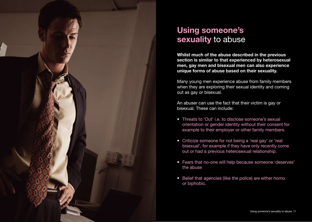

# **Using someone's sexuality** to abuse

**Whilst much of the abuse described in the previous section is similar to that experienced by heterosexual men, gay men and bisexual men can also experience unique forms of abuse based on their sexuality.** 

Many young men experience abuse from family members when they are exploring their sexual identity and coming out as gay or bisexual.

An abuser can use the fact that their victim is gay or bisexual. These can include:

- Threats to 'Out' i.e. to disclose someone's sexual orientation or gender identity without their consent for example to their employer or other family members.
- Criticize someone for not being a 'real gay' or 'real bisexual', for example if they have only recently come out or had a previous heterosexual relationship.
- Fears that no-one will help because someone 'deserves' the abuse
- Belief that agencies (like the police) are either homo or biphobic.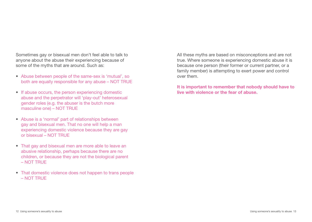Sometimes gay or bisexual men don't feel able to talk to anyone about the abuse their experiencing because of some of the myths that are around. Such as:

- Abuse between people of the same-sex is 'mutual', so both are equally responsible for any abuse – NOT TRUE
- If abuse occurs, the person experiencing domestic abuse and the perpetrator will 'play-out' heterosexual gender roles (e.g. the abuser is the butch more masculine one) – NOT TRUE
- Abuse is a 'normal' part of relationships between gay and bisexual men. That no one will help a man experiencing domestic violence because they are gay or bisexual – NOT TRUE
- That gay and bisexual men are more able to leave an abusive relationship, perhaps because there are no children, or because they are not the biological parent  $-$  NOT TRUE
- That domestic violence does not happen to trans people – NOT TRUE

All these myths are based on misconceptions and are not true. Where someone is experiencing domestic abuse it is because one person (their former or current partner, or a family member) is attempting to exert power and control over them.

**It is important to remember that nobody should have to live with violence or the fear of abuse.**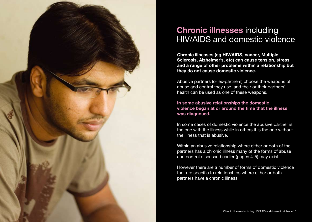

# **Chronic illnesses** including HIV/AIDS and domestic violence

**Chronic illnesses (eg HIV/AIDS, cancer, Multiple Sclerosis, Alzheimer's, etc) can cause tension, stress and a range of other problems within a relationship but they do not cause domestic violence.** 

Abusive partners (or ex-partners) choose the weapons of abuse and control they use, and their or their partners' health can be used as one of these weapons.

**In some abusive relationships the domestic violence began at or around the time that the illness was diagnosed.**

In some cases of domestic violence the abusive partner is the one with the illness while in others it is the one without the illness that is abusive.

Within an abusive relationship where either or both of the partners has a chronic illness many of the forms of abuse and control discussed earlier (pages 4-5) may exist.

However there are a number of forms of domestic violence that are specific to relationships where either or both partners have a chronic illness.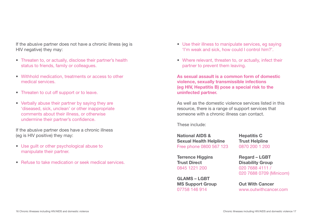If the abusive partner does not have a chronic illness (eg is HIV negative) they may:

- Threaten to, or actually, disclose their partner's health status to friends, family or colleagues.
- Withhold medication, treatments or access to other medical services.
- Threaten to cut off support or to leave.
- Verbally abuse their partner by saying they are 'diseased, sick, unclean' or other inappropriate comments about their illness, or otherwise undermine their partner's confidence.

If the abusive partner does have a chronic illness (eg is HIV positive) they may:

- Use guilt or other psychological abuse to manipulate their partner.
- Refuse to take medication or seek medical services.
- Use their illness to manipulate services, eg saying 'I'm weak and sick, how could I control him?'.
- Where relevant, threaten to, or actually, infect their partner to prevent them leaving.

**As sexual assault is a common form of domestic violence, sexually transmissible infections (eg HIV, Hepatitis B) pose a special risk to the uninfected partner.** 

As well as the domestic violence services listed in this resource, there is a range of support services that someone with a chronic illness can contact.

These include:

**National AIDS & Sexual Health Helpline**  Free phone 0800 567 123 **Hepatitis C** 

**Terrence Higgins Trust Direct** 0845 1221 200

**GLAMS – LGBT MS Support Group** 07758 146 914

**Trust Helpline** 0870 200 1 200

**Regard – LGBT Disability Group** 020 7688 4111 / 020 7688 0709 (Minicom)

**Out With Cancer** www.outwithcancer.com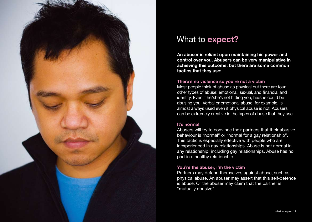

# What to **expect?**

**An abuser is reliant upon maintaining his power and control over you. Abusers can be very manipulative in achieving this outcome, but there are some common tactics that they use:**

#### **There's no violence so you're not a victim**

Most people think of abuse as physical but there are four other types of abuse: emotional, sexual, and financial and identity. Even if he/she's not hitting you, he/she could be abusing you. Verbal or emotional abuse, for example, is almost always used even if physical abuse is not. Abusers can be extremely creative in the types of abuse that they use.

#### **It's normal**

Abusers will try to convince their partners that their abusive behaviour is "normal" or "normal for a gay relationship". This tactic is especially effective with people who are inexperienced in gay relationships. Abuse is not normal in any relationship, including gay relationships. Abuse has no part in a healthy relationship.

#### **You're the abuser, i'm the victim**

Partners may defend themselves against abuse, such as physical abuse. An abuser may assert that this self-defence is abuse. Or the abuser may claim that the partner is "mutually abusive".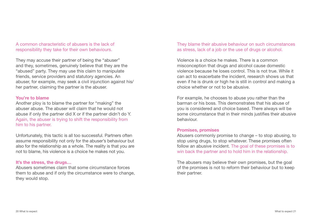A common characteristic of abusers is the lack of responsibility they take for their own behaviours.

They may accuse their partner of being the "abuser" and they, sometimes, genuinely believe that they are the "abused" party. They may use this claim to manipulate friends, service providers and statutory agencies. An abuser, for example, may seek a civil injunction against his/ her partner, claiming the partner is the abuser.

#### **You're to blame**

Another ploy is to blame the partner for "making" the abuser abuse. The abuser will claim that he would not abuse if only the partner did X or if the partner didn't do Y. Again, the abuser is trying to shift the responsibility from him to his partner.

Unfortunately, this tactic is all too successful. Partners often assume responsibility not only for the abuser's behaviour but also for the relationship as a whole. The reality is that you are not to blame, his violence is a choice he makes not you.

#### **It's the stress, the drugs…**

Abusers sometimes claim that some circumstance forces them to abuse and if only the circumstance were to change, they would stop.

They blame their abusive behaviour on such circumstances as stress, lack of a job or the use of drugs or alcohol.

Violence is a choice he makes. There is a common misconception that drugs and alcohol cause domestic violence because he loses control. This is not true. While it can act to exacerbate the incident, research shows us that even if he is drunk or high he is still in control and making a choice whether or not to be abusive.

For example, he chooses to abuse you rather than the barman or his boss. This demonstrates that his abuse of you is considered and choice based. There always will be some circumstance that in their minds justifies their abusive behaviour.

#### **Promises, promises**

Abusers commonly promise to change – to stop abusing, to stop using drugs, to stop whatever. These promises often follow an abusive incident. The goal of these promises is to win back the partner and to hold him in the relationship.

The abusers may believe their own promises, but the goal of the promises is not to reform their behaviour but to keep their partner.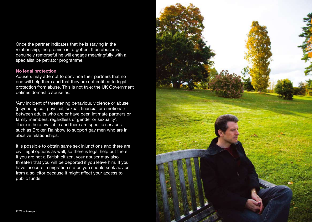Once the partner indicates that he is staying in the relationship, the promise is forgotten. If an abuser is genuinely remorseful he will engage meaningfully with a specialist perpetrator programme.

#### **No legal protection**

Abusers may attempt to convince their partners that no one will help them and that they are not entitled to legal protection from abuse. This is not true; the UK Government defines domestic abuse as:

'Any incident of threatening behaviour, violence or abuse (psychological, physical, sexual, financial or emotional) between adults who are or have been intimate partners or family members, regardless of gender or sexuality'. There is help available and there are specific services such as Broken Rainbow to support gay men who are in abusive relationships.

It is possible to obtain same sex injunctions and there are civil legal options as well, so there is legal help out there. If you are not a British citizen, your abuser may also threaten that you will be deported if you leave him. If you have insecure immigration status you should seek advice from a solicitor because it might affect your access to public funds.

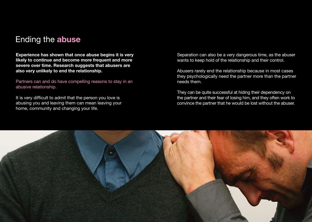# Ending the **abuse**

**Experience has shown that once abuse begins it is very likely to continue and become more frequent and more severe over time. Research suggests that abusers are also very unlikely to end the relationship.** 

Partners can and do have compelling reasons to stay in an abusive relationship.

It is very difficult to admit that the person you love is abusing you and leaving them can mean leaving your home, community and changing your life.

Separation can also be a very dangerous time, as the abuser wants to keep hold of the relationship and their control.

Abusers rarely end the relationship because in most cases they psychologically need the partner more than the partner needs them.

They can be quite successful at hiding their dependency on the partner and their fear of losing him, and they often work to convince the partner that he would be lost without the abuser.

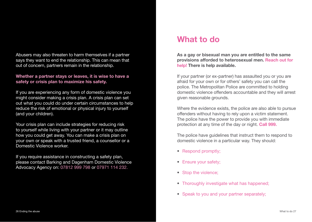Abusers may also threaten to harm themselves if a partner says they want to end the relationship. This can mean that out of concern, partners remain in the relationship.

#### **Whether a partner stays or leaves, it is wise to have a safety or crisis plan to maximize his safety.**

If you are experiencing any form of domestic violence you might consider making a crisis plan. A crisis plan can set out what you could do under certain circumstances to help reduce the risk of emotional or physical injury to yourself (and your children).

Your crisis plan can include strategies for reducing risk to yourself while living with your partner or it may outline how you could get away. You can make a crisis plan on your own or speak with a trusted friend, a counsellor or a Domestic Violence worker.

If you require assistance in constructing a safety plan, please contact Barking and Dagenham Domestic Violence Advocacy Agency on: 07812 999 798 or 07971 114 232.

# **What to do**

**As a gay or bisexual man you are entitled to the same provisions afforded to heterosexual men. Reach out for help! There is help available.** 

If your partner (or ex-partner) has assaulted you or you are afraid for your own or for others' safety you can call the police. The Metropolitan Police are committed to holding domestic violence offenders accountable and they will arrest given reasonable grounds.

Where the evidence exists, the police are also able to pursue offenders without having to rely upon a victim statement. The police have the power to provide you with immediate protection at any time of the day or night. **Call 999.** 

The police have guidelines that instruct them to respond to domestic violence in a particular way. They should:

- Respond promptly;
- Ensure your safety;
- Stop the violence;
- Thoroughly investigate what has happened;
- Speak to you and your partner separately: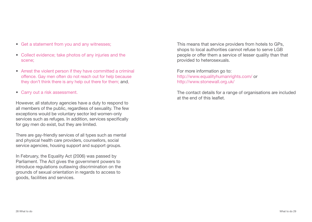- Get a statement from you and any witnesses;
- Collect evidence; take photos of any injuries and the scene;
- Arrest the violent person if they have committed a criminal offence. Gay men often do not reach out for help because they don't think there is any help out there for them; and,
- Carry out a risk assessment.

However, all statutory agencies have a duty to respond to all members of the public, regardless of sexuality. The few exceptions would be voluntary sector led women-only services such as refuges. In addition, services specifically for gay men do exist, but they are limited.

There are gay-friendly services of all types such as mental and physical health care providers, counsellors, social service agencies, housing support and support groups.

In February, the Equality Act (2006) was passed by Parliament. The Act gives the government powers to introduce regulations outlawing discrimination on the grounds of sexual orientation in regards to access to goods, facilities and services.

This means that service providers from hotels to GPs, shops to local authorities cannot refuse to serve LGB people or offer them a service of lesser quality than that provided to heterosexuals.

For more information go to: http://www.equalityhumanrights.com/ or http://www.stonewall.org.uk/

The contact details for a range of organisations are included at the end of this leaflet.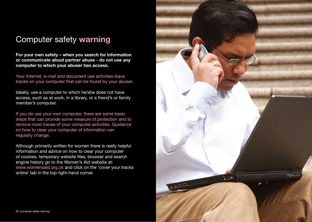# Computer safety **warning**

**For your own safety – when you search for information or communicate about partner abuse - do not use any computer to which your abuser has access.** 

Your Internet, e-mail and document use activities leave traces on your computer that can be found by your abuser.

Ideally, use a computer to which he/she does not have access, such as at work, in a library, or a friend's or family member's computer.

If you do use your own computer, there are some basic steps that can provide some measure of protection and to remove most traces of your computer activities. Guidance on how to clear your computer of information can regularly change.

Although primarily written for women there is really helpful information and advice on how to clear your computer of cookies, temporary website files, browser and search engine history go to the Women's Aid website at: www.womensaid.org.uk and click on the 'cover your tracks online' tab in the top right-hand corner.

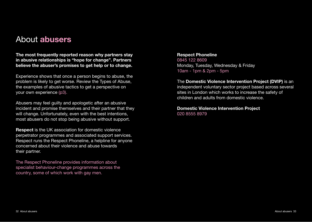# About **abusers**

**The most frequently reported reason why partners stay in abusive relationships is "hope for change". Partners believe the abuser's promises to get help or to change.** 

Experience shows that once a person begins to abuse, the problem is likely to get worse. Review the Types of Abuse, the examples of abusive tactics to get a perspective on your own experience (p3).

Abusers may feel guilty and apologetic after an abusive incident and promise themselves and their partner that they will change. Unfortunately, even with the best intentions, most abusers do not stop being abusive without support.

**Respect** is the UK association for domestic violence perpetrator programmes and associated support services. Respect runs the Respect Phoneline, a helpline for anyone concerned about their violence and abuse towards their partner.

The Respect Phoneline provides information about specialist behaviour-change programmes across the country, some of which work with gay men.

**Respect Phoneline** 0845 122 8609 Monday, Tuesday, Wednesday & Friday 10am - 1pm & 2pm - 5pm

The **Domestic Violence Intervention Project (DVIP)** is an independent voluntary sector project based across several sites in London which works to increase the safety of children and adults from domestic violence.

**Domestic Violence Intervention Project** 020 8555 8979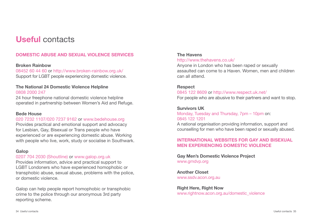# **Useful** contacts

# **DOMESTIC ABUSE AND SEXUAL VIOLENCE SERVICES**

#### **Broken Rainbow**

08452 60 44 60 or http://www.broken-rainbow.org.uk/ Support for LGBT people experiencing domestic violence.

### **The National 24 Domestic Violence Helpline** 0808 2000 247

24 hour freephone national domestic violence helpline operated in partnership between Women's Aid and Refuge.

#### **Bede House**

#### 020 7232 1107/020 7237 9162 or www.bedehouse.org

Provides practical and emotional support and advocacy for Lesbian, Gay, Bisexual or Trans people who have experienced or are experiencing domestic abuse. Working with people who live, work, study or socialise in Southwark.

#### **Galop**

#### 0207 704 2030 (Shoutline) or www.galop.org.uk

Provides information, advice and practical support to LGBT Londoners who have experienced homophobic or transphobic abuse, sexual abuse, problems with the police, or domestic violence.

Galop can help people report homophobic or transphobic crime to the police through our anonymous 3rd party reporting scheme.

# **The Havens**

### http://www.thehavens.co.uk/

Anyone in London who has been raped or sexually assaulted can come to a Haven. Women, men and children can all attend.

#### **Respect**

0845 122 8609 or http://www.respect.uk.net/ For people who are abusive to their partners and want to stop.

#### **Survivors UK**

Monday, Tuesday and Thursday, 7pm – 10pm on: 0845 122 1201

A national organisation providing information, support and counselling for men who have been raped or sexually abused.

### **INTERNATIONAL WEBSITES FOR GAY AND BISEXUAL MEN EXPERIENCING DOMESTIC VIOLENCE**

#### **Gay Men's Domestic Violence Project** www.gmdvp.org

**Another Closet** www.ssdv.acon.org.au

#### **Right Here, Right Now** www.rightnow.acon.org.au/domestic\_violence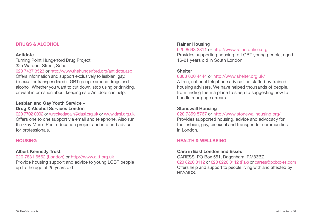#### **DRUGS & ALCOHOL**

#### **Antidote**

Turning Point Hungerford Drug Project 32a Wardour Street, Soho 020 7437 3523 or http://www.thehungerford.org/antidote.asp

Offers information and support exclusively to lesbian, gay, bisexual or transgendered (LGBT) people around drugs and alcohol. Whether you want to cut down, stop using or drinking, or want information about keeping safe Antidote can help.

#### **Lesbian and Gay Youth Service – Drug & Alcohol Services London**

# 020 7702 0002 or wreckedagain@dasl.org.uk or www.dasl.org.uk

Offers one to one support via email and telephone. Also run the Gay Man's Peer education project and info and advice for professionals.

# **HOUSING**

#### **Albert Kennedy Trust**

020 7831 6562 (London) or http://www.akt.org.uk

Provide housing support and advice to young LGBT people up to the age of 25 years old

#### **Rainer Housing**

#### 020 8693 3311 or http://www.raineronline.org

Provides supporting housing to LGBT young people, aged 16-21 years old in South London

#### **Shelter**

#### 0808 800 4444 or http://www.shelter.org.uk/

A free, national telephone advice line staffed by trained housing advisers. We have helped thousands of people, from finding them a place to sleep to suggesting how to handle mortgage arrears.

### **Stonewall Housing**

#### 020 7359 5767 or http://www.stonewallhousing.org/

Provides supported housing, advice and advocacy for the lesbian, gay, bisexual and transgender communities in London.

#### **HEALTH & WELLBEING**

#### **Care in East London and Essex**

CARESS, PO Box 551, Dagenham, RM83BZ 020 8220 0112 or 020 8220 0112 (Fax) or caress@poboxes.com Offers help and support to people living with and affected by HIV/AIDS.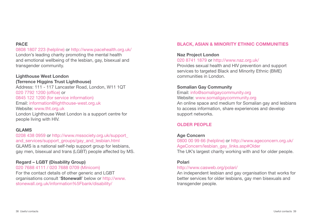#### **PACE**

0808 1807 223 (helpline) or http://www.pacehealth.org.uk/ London's leading charity promoting the mental health and emotional wellbeing of the lesbian, gay, bisexual and transgender community.

# **Lighthouse West London**

**(Terrence Higgins Trust Lighthouse)** Address: 111 - 117 Lancaster Road, London, W11 1QT 020 7792 1200 (office) or 0845 122 1200 (for service information) Email: information@lighthouse-west.org.uk Website: www.tht.org.uk London Lighthouse West London is a support centre for people living with HIV.

#### **GLAMS**

0208 438 0959 or http://www.mssociety.org.uk/support\_ and services/support groups/gay and lesbian.html

GLAMS is a national self-help support group for lesbians, gay men, bisexual and trans (LGBT) people affected by MS.

# **Regard – LGBT (Disability Group)**

020 7688 4111 / 020 7688 0709 (Minicom) For the contact details of other generic and LGBT organisations consult '**Stonewall**' below or http://www. stonewall.org.uk/information%5Fbank/disability/

# **BLACK, ASIAN & MINORITY ETHNIC COMMUNITIES**

#### **Naz Project London** 020 8741 1879 or http://www.naz.org.uk/

Provides sexual health and HIV prevention and support

services to targeted Black and Minority Ethnic (BME) communities in London.

#### **Somalian Gay Community**

#### Email: info@somaligaycommunity.org Website: www.somaligaycommunity.org

An online space and medium for Somalian gay and lesbians to access information, share experiences and develop support networks.

# **OLDER PEOPLE**

# **Age Concern**

0800 00 99 66 (helpline) or http://www.ageconcern.org.uk/ AgeConcern/lesbian\_gay\_links.asp#Older The UK's largest charity working with and for older people.

#### **Polari**

#### http://www.casweb.org/polari/

An independent lesbian and gay organisation that works for better services for older lesbians, gay men bisexuals and transgender people.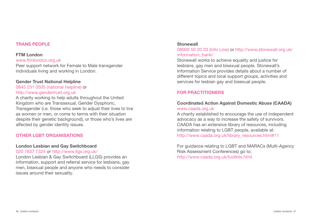#### **TRANS PEOPLE**

#### **FTM London**

#### www.ftmlondon.org.uk

Peer support network for Female to Male transgender individuals living and working in London.

#### **Gender Trust National Helpline**

0845 231 0505 (national helpline) or http://www.gendertrust.org.uk

A charity working to help adults throughout the United Kingdom who are Transsexual, Gender Dysphoric, Transgender (i.e. those who seek to adjust their lives to live as women or men, or come to terms with their situation despite their genetic background), or those who's lives are affected by gender identity issues.

#### **OTHER LGBT ORGANISATIONS**

#### **London Lesbian and Gay Switchboard**

#### 020 7837 7324 or http://www.llgs.org.uk/

London Lesbian & Gay Switchboard (LLGS) provides an information, support and referral service for lesbians, gay men, bisexual people and anyone who needs to consider issues around their sexuality.

#### **Stonewall**

08000 50 20 20 (Info Line) or http://www.stonewall.org.uk/ information\_bank/

Stonewall works to achieve equality and justice for lesbians, gay men and bisexual people. Stonewall's Information Service provides details about a number of different topics and local support groups, activities and services for lesbian gay and bisexual people.

### **FOR PRACTITIONERS**

#### **Coordinated Action Against Domestic Abuse (CAADA)**  www.caada.org.uk

A charity established to encourage the use of independent advocacy as a way to increase the safety of survivors. CAADA has an extensive library of resources, including information relating to LGBT people, available at: http://www.caada.org.uk/library\_resources.html#11

For guidance relating to LGBT and MARACs (Multi-Agency Risk Assessment Conferences) go to: http://www.caada.org.uk/toolkits.html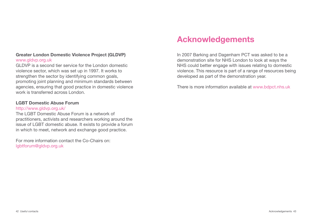# **Greater London Domestic Violence Project (GLDVP)** www.gldvp.org.uk

GLDVP is a second tier service for the London domestic violence sector, which was set up in 1997. It works to strengthen the sector by identifying common goals, promoting joint planning and minimum standards between agencies, ensuring that good practice in domestic violence work is transferred across London.

#### **LGBT Domestic Abuse Forum**

#### http://www.gldvp.org.uk/

The LGBT Domestic Abuse Forum is a network of practitioners, activists and researchers working around the issue of LGBT domestic abuse. It exists to provide a forum in which to meet, network and exchange good practice.

For more information contact the Co-Chairs on: lgbtforum@gldvp.org.uk

# **Acknowledgements**

In 2007 Barking and Dagenham PCT was asked to be a demonstration site for NHS London to look at ways the NHS could better engage with issues relating to domestic violence. This resource is part of a range of resources being developed as part of the demonstration year.

There is more information available at www.bdpct.nhs.uk